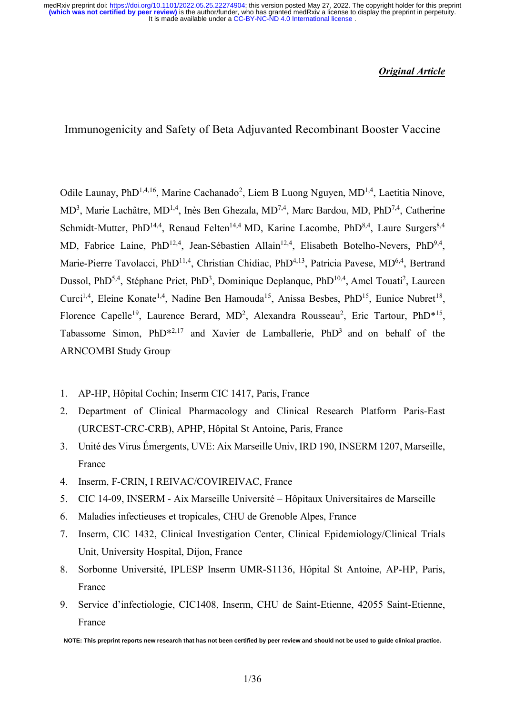It is made available under a [CC-BY-NC-ND 4.0 International license](http://creativecommons.org/licenses/by-nc-nd/4.0/) . **(which was not certified by peer review)** is the author/funder, who has granted medRxiv a license to display the preprint in perpetuity. medRxiv preprint doi: [https://doi.org/10.1101/2022.05.25.22274904;](https://doi.org/10.1101/2022.05.25.22274904) this version posted May 27, 2022. The copyright holder for this preprint

### *Original Article*

Immunogenicity and Safety of Beta Adjuvanted Recombinant Booster Vaccine

Odile Launay, PhD<sup>1,4,16</sup>, Marine Cachanado<sup>2</sup>, Liem B Luong Nguyen, MD<sup>1,4</sup>, Laetitia Ninove, MD<sup>3</sup>, Marie Lachâtre, MD<sup>1,4</sup>, Inès Ben Ghezala, MD<sup>7,4</sup>, Marc Bardou, MD, PhD<sup>7,4</sup>, Catherine Schmidt-Mutter, PhD<sup>14,4</sup>, Renaud Felten<sup>14,4</sup> MD, Karine Lacombe, PhD<sup>8,4</sup>, Laure Surgers<sup>8,4</sup> MD, Fabrice Laine, PhD<sup>12,4</sup>, Jean-Sébastien Allain<sup>12,4</sup>, Elisabeth Botelho-Nevers, PhD<sup>9,4</sup>, Marie-Pierre Tavolacci, PhD<sup>11,4</sup>, Christian Chidiac, PhD<sup>4,13</sup>, Patricia Pavese, MD<sup>6,4</sup>, Bertrand Dussol, PhD<sup>5,4</sup>, Stéphane Priet, PhD<sup>3</sup>, Dominique Deplanque, PhD<sup>10,4</sup>, Amel Touati<sup>2</sup>, Laureen Curci<sup>1,4</sup>, Eleine Konate<sup>1,4</sup>, Nadine Ben Hamouda<sup>15</sup>, Anissa Besbes, PhD<sup>15</sup>, Eunice Nubret<sup>18</sup>, Florence Capelle<sup>19</sup>, Laurence Berard, MD<sup>2</sup>, Alexandra Rousseau<sup>2</sup>, Eric Tartour, PhD<sup>\*15</sup>, Tabassome Simon,  $PhD^{*2,17}$  and Xavier de Lamballerie,  $PhD^3$  and on behalf of the ARNCOMBI Study Group.

- 1. AP-HP, Hôpital Cochin; Inserm CIC 1417, Paris, France
- 2. Department of Clinical Pharmacology and Clinical Research Platform Paris-East (URCEST-CRC-CRB), APHP, Hôpital St Antoine, Paris, France
- 3. Unité des Virus Émergents, UVE: Aix Marseille Univ, IRD 190, INSERM 1207, Marseille, France
- 4. Inserm, F-CRIN, I REIVAC/COVIREIVAC, France
- 5. CIC 14-09, INSERM Aix Marseille Université Hôpitaux Universitaires de Marseille
- 6. Maladies infectieuses et tropicales, CHU de Grenoble Alpes, France
- 7. Inserm, CIC 1432, Clinical Investigation Center, Clinical Epidemiology/Clinical Trials Unit, University Hospital, Dijon, France
- 8. Sorbonne Université, IPLESP Inserm UMR-S1136, Hôpital St Antoine, AP-HP, Paris, France
- 9. Service d'infectiologie, CIC1408, Inserm, CHU de Saint-Etienne, 42055 Saint-Etienne, France

**NOTE: This preprint reports new research that has not been certified by peer review and should not be used to guide clinical practice.**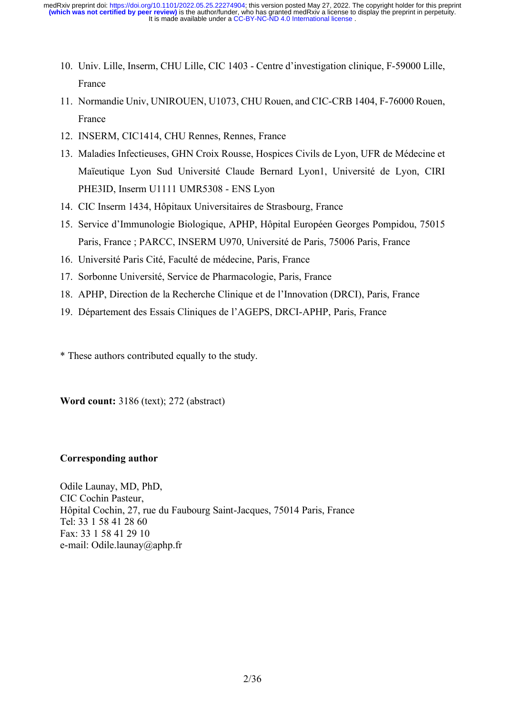- 10. Univ. Lille, Inserm, CHU Lille, CIC 1403 Centre d'investigation clinique, F-59000 Lille, France
- 11. Normandie Univ, UNIROUEN, U1073, CHU Rouen, and CIC-CRB 1404, F-76000 Rouen, France
- 12. INSERM, CIC1414, CHU Rennes, Rennes, France
- 13. Maladies Infectieuses, GHN Croix Rousse, Hospices Civils de Lyon, UFR de Médecine et Maïeutique Lyon Sud Université Claude Bernard Lyon1, Université de Lyon, CIRI PHE3ID, Inserm U1111 UMR5308 - ENS Lyon
- 14. CIC Inserm 1434, Hôpitaux Universitaires de Strasbourg, France
- 15. Service d'Immunologie Biologique, APHP, Hôpital Européen Georges Pompidou, 75015 Paris, France ; PARCC, INSERM U970, Université de Paris, 75006 Paris, France
- 16. Université Paris Cité, Faculté de médecine, Paris, France
- 17. Sorbonne Université, Service de Pharmacologie, Paris, France
- 18. APHP, Direction de la Recherche Clinique et de l'Innovation (DRCI), Paris, France
- 19. Département des Essais Cliniques de l'AGEPS, DRCI-APHP, Paris, France

\* These authors contributed equally to the study.

**Word count:** 3186 (text); 272 (abstract)

# **Corresponding author**

Odile Launay, MD, PhD, CIC Cochin Pasteur, Hôpital Cochin, 27, rue du Faubourg Saint-Jacques, 75014 Paris, France Tel: 33 1 58 41 28 60 Fax: 33 1 58 41 29 10 e-mail: Odile.launay@aphp.fr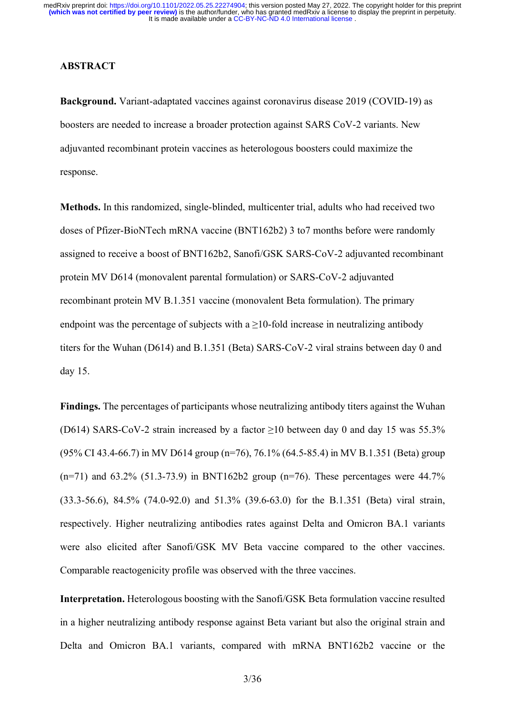#### **ABSTRACT**

**Background.** Variant-adaptated vaccines against coronavirus disease 2019 (COVID-19) as boosters are needed to increase a broader protection against SARS CoV-2 variants. New adjuvanted recombinant protein vaccines as heterologous boosters could maximize the response.

**Methods.** In this randomized, single-blinded, multicenter trial, adults who had received two doses of Pfizer-BioNTech mRNA vaccine (BNT162b2) 3 to7 months before were randomly assigned to receive a boost of BNT162b2, Sanofi/GSK SARS-CoV-2 adjuvanted recombinant protein MV D614 (monovalent parental formulation) or SARS-CoV-2 adjuvanted recombinant protein MV B.1.351 vaccine (monovalent Beta formulation). The primary endpoint was the percentage of subjects with a  $\geq$ 10-fold increase in neutralizing antibody titers for the Wuhan (D614) and B.1.351 (Beta) SARS-CoV-2 viral strains between day 0 and day 15.

**Findings.** The percentages of participants whose neutralizing antibody titers against the Wuhan (D614) SARS-CoV-2 strain increased by a factor  $\geq$ 10 between day 0 and day 15 was 55.3% (95% CI 43.4-66.7) in MV D614 group (n=76), 76.1% (64.5-85.4) in MV B.1.351 (Beta) group  $(n=71)$  and 63.2% (51.3-73.9) in BNT162b2 group  $(n=76)$ . These percentages were 44.7% (33.3-56.6), 84.5% (74.0-92.0) and 51.3% (39.6-63.0) for the B.1.351 (Beta) viral strain, respectively. Higher neutralizing antibodies rates against Delta and Omicron BA.1 variants were also elicited after Sanofi/GSK MV Beta vaccine compared to the other vaccines. Comparable reactogenicity profile was observed with the three vaccines.

**Interpretation.** Heterologous boosting with the Sanofi/GSK Beta formulation vaccine resulted in a higher neutralizing antibody response against Beta variant but also the original strain and Delta and Omicron BA.1 variants, compared with mRNA BNT162b2 vaccine or the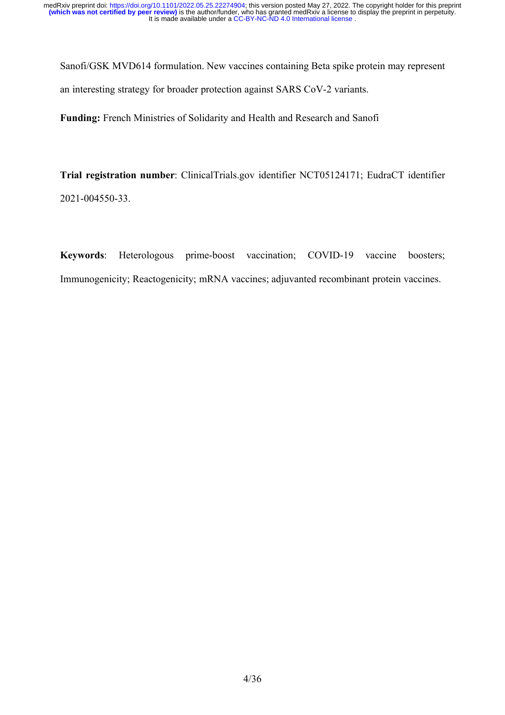Sanofi/GSK MVD614 formulation. New vaccines containing Beta spike protein may represent an interesting strategy for broader protection against SARS CoV-2 variants.

**Funding:** French Ministries of Solidarity and Health and Research and Sanofi

**Trial registration number**: ClinicalTrials.gov identifier NCT05124171; EudraCT identifier 2021-004550-33.

**Keywords**: Heterologous prime-boost vaccination; COVID-19 vaccine boosters; Immunogenicity; Reactogenicity; mRNA vaccines; adjuvanted recombinant protein vaccines.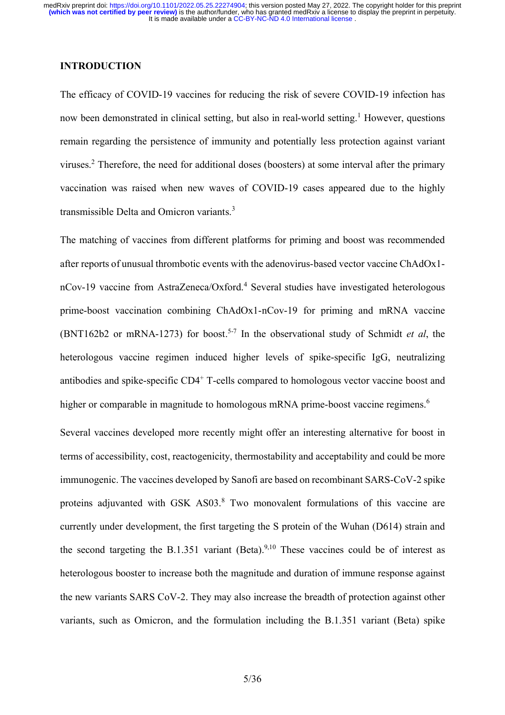## **INTRODUCTION**

The efficacy of COVID-19 vaccines for reducing the risk of severe COVID-19 infection has now been demonstrated in clinical setting, but also in real-world setting. <sup>1</sup> However, questions remain regarding the persistence of immunity and potentially less protection against variant viruses. <sup>2</sup> Therefore, the need for additional doses (boosters) at some interval after the primary vaccination was raised when new waves of COVID-19 cases appeared due to the highly transmissible Delta and Omicron variants.<sup>3</sup>

The matching of vaccines from different platforms for priming and boost was recommended after reports of unusual thrombotic events with the adenovirus-based vector vaccine ChAdOx1 nCov-19 vaccine from AstraZeneca/Oxford. <sup>4</sup> Several studies have investigated heterologous prime-boost vaccination combining ChAdOx1-nCov-19 for priming and mRNA vaccine (BNT162b2 or mRNA-1273) for boost. 5-7 In the observational study of Schmidt *et al*, the heterologous vaccine regimen induced higher levels of spike-specific IgG, neutralizing antibodies and spike-specific CD4<sup>+</sup> T-cells compared to homologous vector vaccine boost and higher or comparable in magnitude to homologous mRNA prime-boost vaccine regimens.<sup>6</sup>

Several vaccines developed more recently might offer an interesting alternative for boost in terms of accessibility, cost, reactogenicity, thermostability and acceptability and could be more immunogenic. The vaccines developed by Sanofi are based on recombinant SARS-CoV-2 spike proteins adjuvanted with GSK AS03.<sup>8</sup> Two monovalent formulations of this vaccine are currently under development, the first targeting the S protein of the Wuhan (D614) strain and the second targeting the B.1.351 variant (Beta). $9,10$  These vaccines could be of interest as heterologous booster to increase both the magnitude and duration of immune response against the new variants SARS CoV-2. They may also increase the breadth of protection against other variants, such as Omicron, and the formulation including the B.1.351 variant (Beta) spike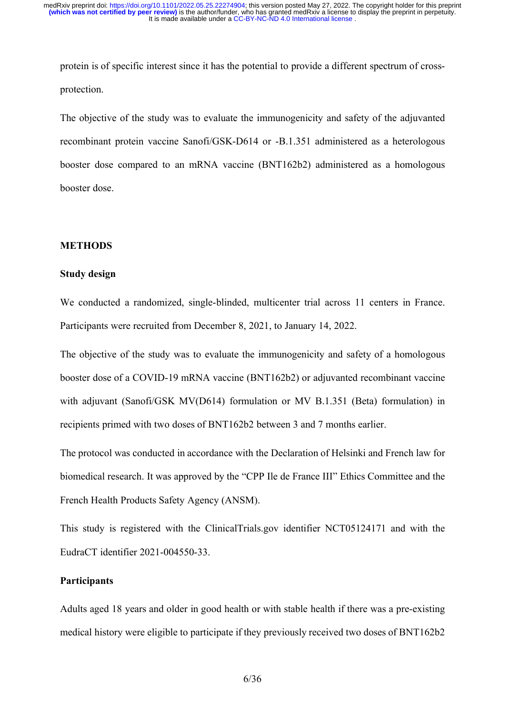protein is of specific interest since it has the potential to provide a different spectrum of crossprotection.

The objective of the study was to evaluate the immunogenicity and safety of the adjuvanted recombinant protein vaccine Sanofi/GSK-D614 or -B.1.351 administered as a heterologous booster dose compared to an mRNA vaccine (BNT162b2) administered as a homologous booster dose.

#### **METHODS**

#### **Study design**

We conducted a randomized, single-blinded, multicenter trial across 11 centers in France. Participants were recruited from December 8, 2021, to January 14, 2022.

The objective of the study was to evaluate the immunogenicity and safety of a homologous booster dose of a COVID-19 mRNA vaccine (BNT162b2) or adjuvanted recombinant vaccine with adjuvant (Sanofi/GSK MV(D614) formulation or MV B.1.351 (Beta) formulation) in recipients primed with two doses of BNT162b2 between 3 and 7 months earlier.

The protocol was conducted in accordance with the Declaration of Helsinki and French law for biomedical research. It was approved by the "CPP Ile de France III" Ethics Committee and the French Health Products Safety Agency (ANSM).

This study is registered with the ClinicalTrials.gov identifier NCT05124171 and with the EudraCT identifier 2021-004550-33.

### **Participants**

Adults aged 18 years and older in good health or with stable health if there was a pre-existing medical history were eligible to participate if they previously received two doses of BNT162b2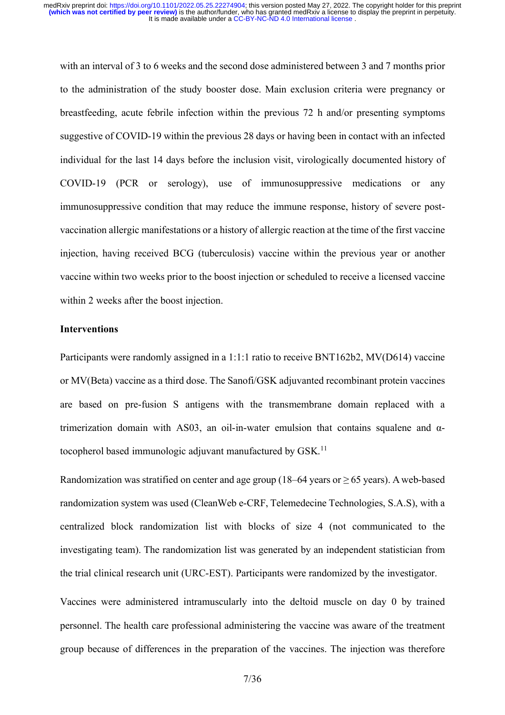with an interval of 3 to 6 weeks and the second dose administered between 3 and 7 months prior to the administration of the study booster dose. Main exclusion criteria were pregnancy or breastfeeding, acute febrile infection within the previous 72 h and/or presenting symptoms suggestive of COVID-19 within the previous 28 days or having been in contact with an infected individual for the last 14 days before the inclusion visit, virologically documented history of COVID-19 (PCR or serology), use of immunosuppressive medications or any immunosuppressive condition that may reduce the immune response, history of severe postvaccination allergic manifestations or a history of allergic reaction at the time of the first vaccine injection, having received BCG (tuberculosis) vaccine within the previous year or another vaccine within two weeks prior to the boost injection or scheduled to receive a licensed vaccine within 2 weeks after the boost injection.

### **Interventions**

Participants were randomly assigned in a 1:1:1 ratio to receive BNT162b2, MV(D614) vaccine or MV(Beta) vaccine as a third dose. The Sanofi/GSK adjuvanted recombinant protein vaccines are based on pre-fusion S antigens with the transmembrane domain replaced with a trimerization domain with AS03, an oil-in-water emulsion that contains squalene and αtocopherol based immunologic adjuvant manufactured by GSK.<sup>11</sup>

Randomization was stratified on center and age group (18–64 years or  $\geq$  65 years). A web-based randomization system was used (CleanWeb e-CRF, Telemedecine Technologies, S.A.S), with a centralized block randomization list with blocks of size 4 (not communicated to the investigating team). The randomization list was generated by an independent statistician from the trial clinical research unit (URC-EST). Participants were randomized by the investigator.

Vaccines were administered intramuscularly into the deltoid muscle on day 0 by trained personnel. The health care professional administering the vaccine was aware of the treatment group because of differences in the preparation of the vaccines. The injection was therefore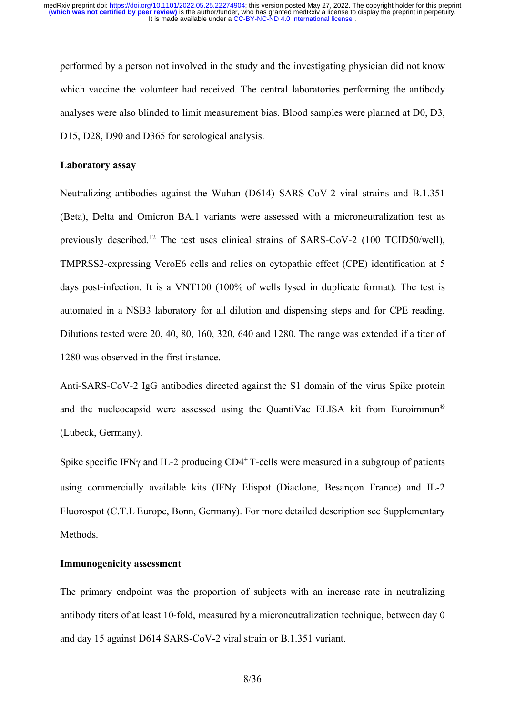performed by a person not involved in the study and the investigating physician did not know which vaccine the volunteer had received. The central laboratories performing the antibody analyses were also blinded to limit measurement bias. Blood samples were planned at D0, D3, D15, D28, D90 and D365 for serological analysis.

### **Laboratory assay**

Neutralizing antibodies against the Wuhan (D614) SARS-CoV-2 viral strains and B.1.351 (Beta), Delta and Omicron BA.1 variants were assessed with a microneutralization test as previously described.<sup>12</sup> The test uses clinical strains of SARS-CoV-2 (100 TCID50/well), TMPRSS2-expressing VeroE6 cells and relies on cytopathic effect (CPE) identification at 5 days post-infection. It is a VNT100 (100% of wells lysed in duplicate format). The test is automated in a NSB3 laboratory for all dilution and dispensing steps and for CPE reading. Dilutions tested were 20, 40, 80, 160, 320, 640 and 1280. The range was extended if a titer of 1280 was observed in the first instance.

Anti-SARS-CoV-2 IgG antibodies directed against the S1 domain of the virus Spike protein and the nucleocapsid were assessed using the QuantiVac ELISA kit from Euroimmun<sup>®</sup> (Lubeck, Germany).

Spike specific IFN $\gamma$  and IL-2 producing CD4<sup>+</sup> T-cells were measured in a subgroup of patients using commercially available kits (IFN $\gamma$  Elispot (Diaclone, Besançon France) and IL-2 Fluorospot (C.T.L Europe, Bonn, Germany). For more detailed description see Supplementary Methods.

# **Immunogenicity assessment**

The primary endpoint was the proportion of subjects with an increase rate in neutralizing antibody titers of at least 10-fold, measured by a microneutralization technique, between day 0 and day 15 against D614 SARS-CoV-2 viral strain or B.1.351 variant.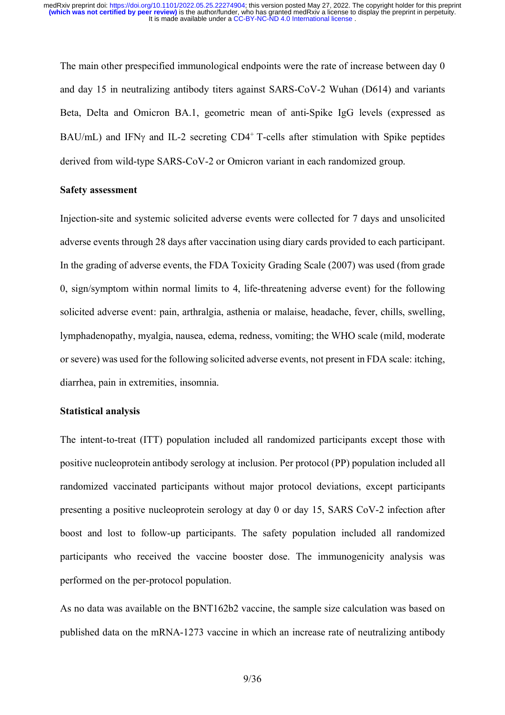The main other prespecified immunological endpoints were the rate of increase between day 0 and day 15 in neutralizing antibody titers against SARS-CoV-2 Wuhan (D614) and variants Beta, Delta and Omicron BA.1, geometric mean of anti-Spike IgG levels (expressed as BAU/mL) and IFN $\gamma$  and IL-2 secreting CD4<sup>+</sup> T-cells after stimulation with Spike peptides derived from wild-type SARS-CoV-2 or Omicron variant in each randomized group.

### **Safety assessment**

Injection-site and systemic solicited adverse events were collected for 7 days and unsolicited adverse events through 28 days after vaccination using diary cards provided to each participant. In the grading of adverse events, the FDA Toxicity Grading Scale (2007) was used (from grade 0, sign/symptom within normal limits to 4, life-threatening adverse event) for the following solicited adverse event: pain, arthralgia, asthenia or malaise, headache, fever, chills, swelling, lymphadenopathy, myalgia, nausea, edema, redness, vomiting; the WHO scale (mild, moderate or severe) was used for the following solicited adverse events, not present in FDA scale: itching, diarrhea, pain in extremities, insomnia.

# **Statistical analysis**

The intent-to-treat (ITT) population included all randomized participants except those with positive nucleoprotein antibody serology at inclusion. Per protocol (PP) population included all randomized vaccinated participants without major protocol deviations, except participants presenting a positive nucleoprotein serology at day 0 or day 15, SARS CoV-2 infection after boost and lost to follow-up participants. The safety population included all randomized participants who received the vaccine booster dose. The immunogenicity analysis was performed on the per-protocol population.

As no data was available on the BNT162b2 vaccine, the sample size calculation was based on published data on the mRNA-1273 vaccine in which an increase rate of neutralizing antibody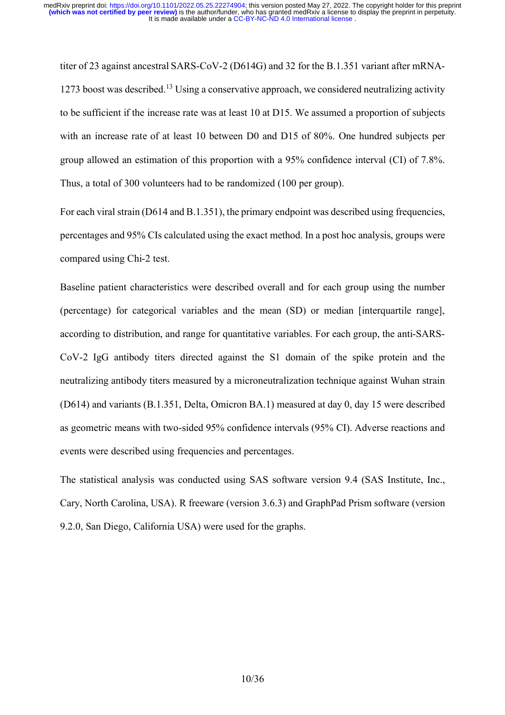titer of 23 against ancestral SARS-CoV-2 (D614G) and 32 for the B.1.351 variant after mRNA-1273 boost was described.<sup>13</sup> Using a conservative approach, we considered neutralizing activity to be sufficient if the increase rate was at least 10 at D15. We assumed a proportion of subjects with an increase rate of at least 10 between D0 and D15 of 80%. One hundred subjects per group allowed an estimation of this proportion with a 95% confidence interval (CI) of 7.8%. Thus, a total of 300 volunteers had to be randomized (100 per group).

For each viral strain (D614 and B.1.351), the primary endpoint was described using frequencies, percentages and 95% CIs calculated using the exact method. In a post hoc analysis, groups were compared using Chi-2 test.

Baseline patient characteristics were described overall and for each group using the number (percentage) for categorical variables and the mean (SD) or median [interquartile range], according to distribution, and range for quantitative variables. For each group, the anti-SARS-CoV-2 IgG antibody titers directed against the S1 domain of the spike protein and the neutralizing antibody titers measured by a microneutralization technique against Wuhan strain (D614) and variants (B.1.351, Delta, Omicron BA.1) measured at day 0, day 15 were described as geometric means with two-sided 95% confidence intervals (95% CI). Adverse reactions and events were described using frequencies and percentages.

The statistical analysis was conducted using SAS software version 9.4 (SAS Institute, Inc., Cary, North Carolina, USA). R freeware (version 3.6.3) and GraphPad Prism software (version 9.2.0, San Diego, California USA) were used for the graphs.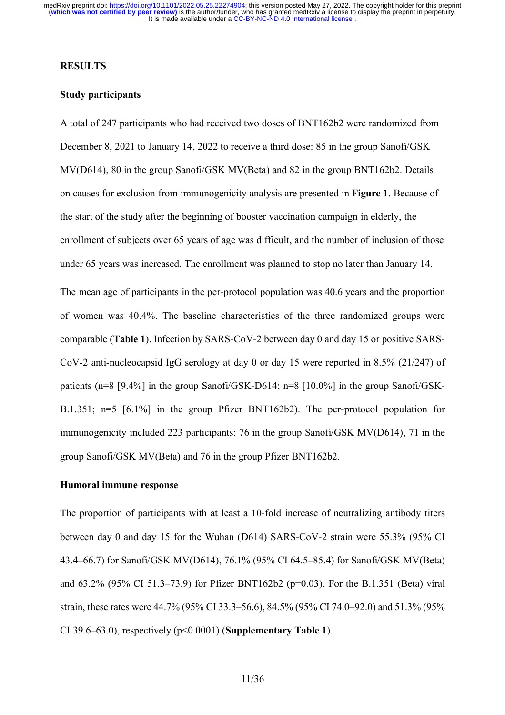### **RESULTS**

## **Study participants**

A total of 247 participants who had received two doses of BNT162b2 were randomized from December 8, 2021 to January 14, 2022 to receive a third dose: 85 in the group Sanofi/GSK MV(D614), 80 in the group Sanofi/GSK MV(Beta) and 82 in the group BNT162b2. Details on causes for exclusion from immunogenicity analysis are presented in **Figure 1**. Because of the start of the study after the beginning of booster vaccination campaign in elderly, the enrollment of subjects over 65 years of age was difficult, and the number of inclusion of those under 65 years was increased. The enrollment was planned to stop no later than January 14.

The mean age of participants in the per-protocol population was 40.6 years and the proportion of women was 40.4%. The baseline characteristics of the three randomized groups were comparable (**Table 1**). Infection by SARS-CoV-2 between day 0 and day 15 or positive SARS-CoV-2 anti-nucleocapsid IgG serology at day 0 or day 15 were reported in 8.5% (21/247) of patients (n=8 [9.4%] in the group Sanofi/GSK-D614; n=8 [10.0%] in the group Sanofi/GSK-B.1.351; n=5 [6.1%] in the group Pfizer BNT162b2). The per-protocol population for immunogenicity included 223 participants: 76 in the group Sanofi/GSK MV(D614), 71 in the group Sanofi/GSK MV(Beta) and 76 in the group Pfizer BNT162b2.

### **Humoral immune response**

The proportion of participants with at least a 10-fold increase of neutralizing antibody titers between day 0 and day 15 for the Wuhan (D614) SARS-CoV-2 strain were 55.3% (95% CI 43.4–66.7) for Sanofi/GSK MV(D614), 76.1% (95% CI 64.5–85.4) for Sanofi/GSK MV(Beta) and 63.2% (95% CI 51.3–73.9) for Pfizer BNT162b2 (p=0.03). For the B.1.351 (Beta) viral strain, these rates were 44.7% (95% CI 33.3–56.6), 84.5% (95% CI 74.0–92.0) and 51.3% (95% CI 39.6–63.0), respectively (p<0.0001) (**Supplementary Table 1**).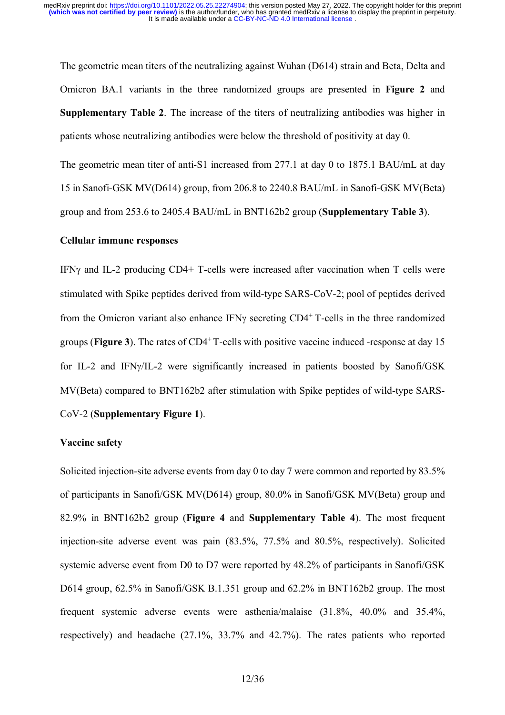The geometric mean titers of the neutralizing against Wuhan (D614) strain and Beta, Delta and Omicron BA.1 variants in the three randomized groups are presented in **Figure 2** and **Supplementary Table 2**. The increase of the titers of neutralizing antibodies was higher in patients whose neutralizing antibodies were below the threshold of positivity at day 0.

The geometric mean titer of anti-S1 increased from 277.1 at day 0 to 1875.1 BAU/mL at day 15 in Sanofi-GSK MV(D614) group, from 206.8 to 2240.8 BAU/mL in Sanofi-GSK MV(Beta) group and from 253.6 to 2405.4 BAU/mL in BNT162b2 group (**Supplementary Table 3**).

### **Cellular immune responses**

IFN $\gamma$  and IL-2 producing CD4+ T-cells were increased after vaccination when T cells were stimulated with Spike peptides derived from wild-type SARS-CoV-2; pool of peptides derived from the Omicron variant also enhance IFN $\gamma$  secreting CD4<sup>+</sup> T-cells in the three randomized groups (**Figure 3**). The rates of CD4<sup>+</sup>T-cells with positive vaccine induced -response at day 15 for IL-2 and IFN/IL-2 were significantly increased in patients boosted by Sanofi/GSK MV(Beta) compared to BNT162b2 after stimulation with Spike peptides of wild-type SARS-CoV-2 (**Supplementary Figure 1**).

#### **Vaccine safety**

Solicited injection-site adverse events from day 0 to day 7 were common and reported by 83.5% of participants in Sanofi/GSK MV(D614) group, 80.0% in Sanofi/GSK MV(Beta) group and 82.9% in BNT162b2 group (**Figure 4** and **Supplementary Table 4**). The most frequent injection-site adverse event was pain (83.5%, 77.5% and 80.5%, respectively). Solicited systemic adverse event from D0 to D7 were reported by 48.2% of participants in Sanofi/GSK D614 group, 62.5% in Sanofi/GSK B.1.351 group and 62.2% in BNT162b2 group. The most frequent systemic adverse events were asthenia/malaise (31.8%, 40.0% and 35.4%, respectively) and headache (27.1%, 33.7% and 42.7%). The rates patients who reported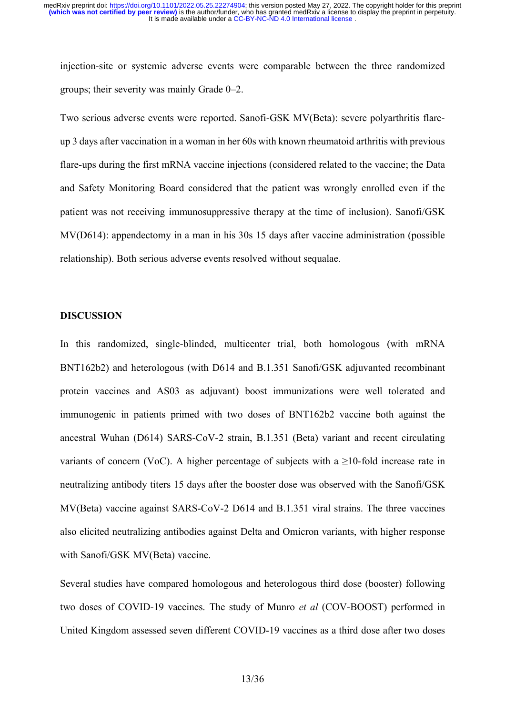injection-site or systemic adverse events were comparable between the three randomized groups; their severity was mainly Grade 0–2.

Two serious adverse events were reported. Sanofi-GSK MV(Beta): severe polyarthritis flareup 3 days after vaccination in a woman in her 60s with known rheumatoid arthritis with previous flare-ups during the first mRNA vaccine injections (considered related to the vaccine; the Data and Safety Monitoring Board considered that the patient was wrongly enrolled even if the patient was not receiving immunosuppressive therapy at the time of inclusion). Sanofi/GSK MV(D614): appendectomy in a man in his 30s 15 days after vaccine administration (possible relationship). Both serious adverse events resolved without sequalae.

### **DISCUSSION**

In this randomized, single-blinded, multicenter trial, both homologous (with mRNA BNT162b2) and heterologous (with D614 and B.1.351 Sanofi/GSK adjuvanted recombinant protein vaccines and AS03 as adjuvant) boost immunizations were well tolerated and immunogenic in patients primed with two doses of BNT162b2 vaccine both against the ancestral Wuhan (D614) SARS-CoV-2 strain, B.1.351 (Beta) variant and recent circulating variants of concern (VoC). A higher percentage of subjects with a  $>10$ -fold increase rate in neutralizing antibody titers 15 days after the booster dose was observed with the Sanofi/GSK MV(Beta) vaccine against SARS-CoV-2 D614 and B.1.351 viral strains. The three vaccines also elicited neutralizing antibodies against Delta and Omicron variants, with higher response with Sanofi/GSK MV(Beta) vaccine.

Several studies have compared homologous and heterologous third dose (booster) following two doses of COVID-19 vaccines. The study of Munro *et al* (COV-BOOST) performed in United Kingdom assessed seven different COVID-19 vaccines as a third dose after two doses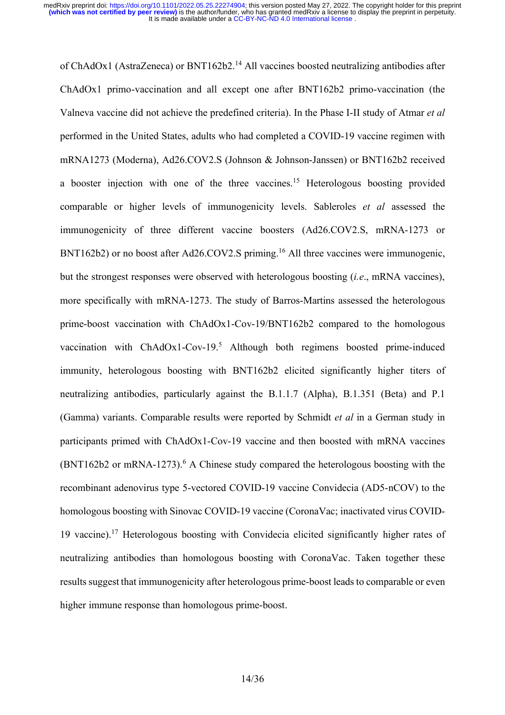of ChAdOx1 (AstraZeneca) or BNT162b2.<sup>14</sup> All vaccines boosted neutralizing antibodies after ChAdOx1 primo-vaccination and all except one after BNT162b2 primo-vaccination (the Valneva vaccine did not achieve the predefined criteria). In the Phase I-II study of Atmar *et al* performed in the United States, adults who had completed a COVID-19 vaccine regimen with mRNA1273 (Moderna), Ad26.COV2.S (Johnson & Johnson-Janssen) or BNT162b2 received a booster injection with one of the three vaccines.<sup>15</sup> Heterologous boosting provided comparable or higher levels of immunogenicity levels. Sableroles *et al* assessed the immunogenicity of three different vaccine boosters (Ad26.COV2.S, mRNA-1273 or BNT162b2) or no boost after Ad26.COV2.S priming.<sup>16</sup> All three vaccines were immunogenic, but the strongest responses were observed with heterologous boosting (*i.e*., mRNA vaccines), more specifically with mRNA-1273. The study of Barros-Martins assessed the heterologous prime-boost vaccination with ChAdOx1-Cov-19/BNT162b2 compared to the homologous vaccination with ChAdOx1-Cov-19.<sup>5</sup> Although both regimens boosted prime-induced immunity, heterologous boosting with BNT162b2 elicited significantly higher titers of neutralizing antibodies, particularly against the B.1.1.7 (Alpha), B.1.351 (Beta) and P.1 (Gamma) variants. Comparable results were reported by Schmidt *et al* in a German study in participants primed with ChAdOx1-Cov-19 vaccine and then boosted with mRNA vaccines  $(BNT162b2$  or mRNA-1273).<sup>6</sup> A Chinese study compared the heterologous boosting with the recombinant adenovirus type 5-vectored COVID-19 vaccine Convidecia (AD5-nCOV) to the homologous boosting with Sinovac COVID-19 vaccine (CoronaVac; inactivated virus COVID-19 vaccine).<sup>17</sup> Heterologous boosting with Convidecia elicited significantly higher rates of neutralizing antibodies than homologous boosting with CoronaVac. Taken together these results suggest that immunogenicity after heterologous prime-boost leads to comparable or even higher immune response than homologous prime-boost.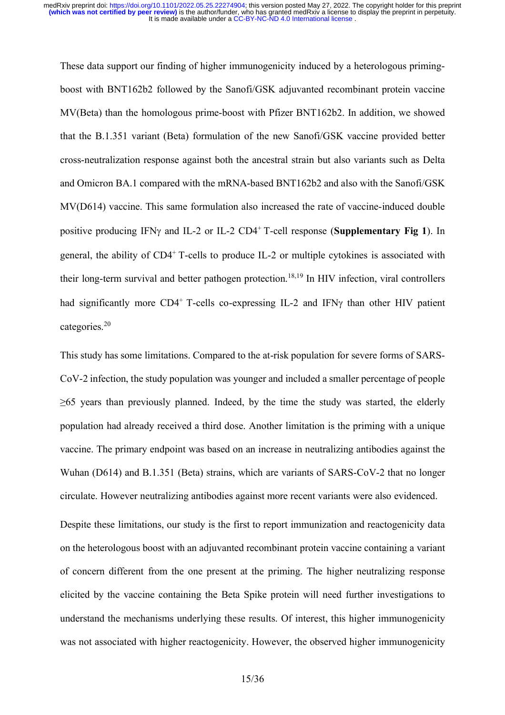These data support our finding of higher immunogenicity induced by a heterologous primingboost with BNT162b2 followed by the Sanofi/GSK adjuvanted recombinant protein vaccine MV(Beta) than the homologous prime-boost with Pfizer BNT162b2. In addition, we showed that the B.1.351 variant (Beta) formulation of the new Sanofi/GSK vaccine provided better cross-neutralization response against both the ancestral strain but also variants such as Delta and Omicron BA.1 compared with the mRNA-based BNT162b2 and also with the Sanofi/GSK MV(D614) vaccine. This same formulation also increased the rate of vaccine-induced double positive producing IFN $\gamma$  and IL-2 or IL-2 CD4<sup>+</sup> T-cell response (**Supplementary Fig 1**). In general, the ability of CD4<sup>+</sup> T-cells to produce IL-2 or multiple cytokines is associated with their long-term survival and better pathogen protection. 18,19 In HIV infection, viral controllers had significantly more  $CD4^+$  T-cells co-expressing IL-2 and IFN $\gamma$  than other HIV patient categories. 20

This study has some limitations. Compared to the at-risk population for severe forms of SARS-CoV-2 infection, the study population was younger and included a smaller percentage of people  $\geq 65$  years than previously planned. Indeed, by the time the study was started, the elderly population had already received a third dose. Another limitation is the priming with a unique vaccine. The primary endpoint was based on an increase in neutralizing antibodies against the Wuhan (D614) and B.1.351 (Beta) strains, which are variants of SARS-CoV-2 that no longer circulate. However neutralizing antibodies against more recent variants were also evidenced.

Despite these limitations, our study is the first to report immunization and reactogenicity data on the heterologous boost with an adjuvanted recombinant protein vaccine containing a variant of concern different from the one present at the priming. The higher neutralizing response elicited by the vaccine containing the Beta Spike protein will need further investigations to understand the mechanisms underlying these results. Of interest, this higher immunogenicity was not associated with higher reactogenicity. However, the observed higher immunogenicity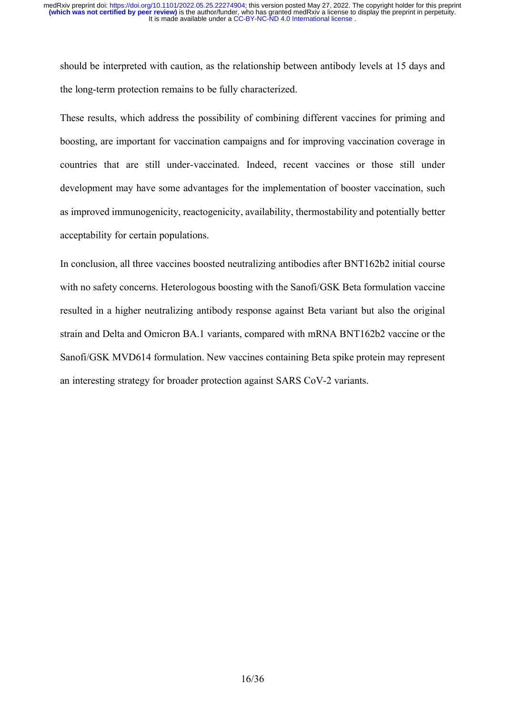should be interpreted with caution, as the relationship between antibody levels at 15 days and the long-term protection remains to be fully characterized.

These results, which address the possibility of combining different vaccines for priming and boosting, are important for vaccination campaigns and for improving vaccination coverage in countries that are still under-vaccinated. Indeed, recent vaccines or those still under development may have some advantages for the implementation of booster vaccination, such as improved immunogenicity, reactogenicity, availability, thermostability and potentially better acceptability for certain populations.

In conclusion, all three vaccines boosted neutralizing antibodies after BNT162b2 initial course with no safety concerns. Heterologous boosting with the Sanofi/GSK Beta formulation vaccine resulted in a higher neutralizing antibody response against Beta variant but also the original strain and Delta and Omicron BA.1 variants, compared with mRNA BNT162b2 vaccine or the Sanofi/GSK MVD614 formulation. New vaccines containing Beta spike protein may represent an interesting strategy for broader protection against SARS CoV-2 variants.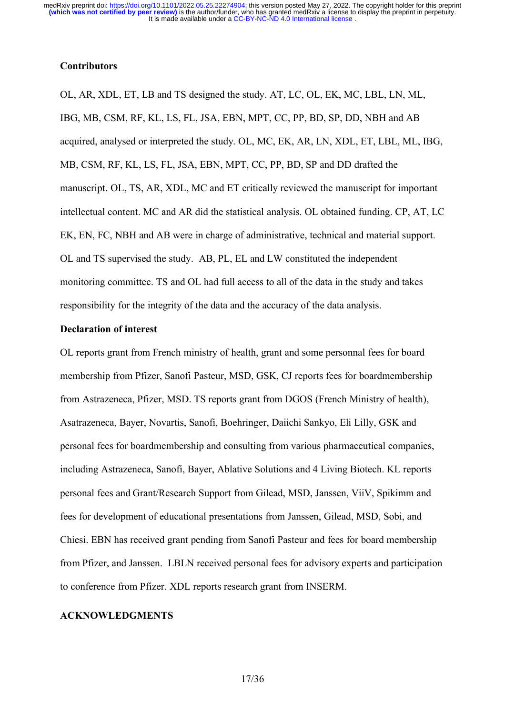## **Contributors**

OL, AR, XDL, ET, LB and TS designed the study. AT, LC, OL, EK, MC, LBL, LN, ML, IBG, MB, CSM, RF, KL, LS, FL, JSA, EBN, MPT, CC, PP, BD, SP, DD, NBH and AB acquired, analysed or interpreted the study. OL, MC, EK, AR, LN, XDL, ET, LBL, ML, IBG, MB, CSM, RF, KL, LS, FL, JSA, EBN, MPT, CC, PP, BD, SP and DD drafted the manuscript. OL, TS, AR, XDL, MC and ET critically reviewed the manuscript for important intellectual content. MC and AR did the statistical analysis. OL obtained funding. CP, AT, LC EK, EN, FC, NBH and AB were in charge of administrative, technical and material support. OL and TS supervised the study. AB, PL, EL and LW constituted the independent monitoring committee. TS and OL had full access to all of the data in the study and takes responsibility for the integrity of the data and the accuracy of the data analysis.

#### **Declaration of interest**

OL reports grant from French ministry of health, grant and some personnal fees for board membership from Pfizer, Sanofi Pasteur, MSD, GSK, CJ reports fees for boardmembership from Astrazeneca, Pfizer, MSD. TS reports grant from DGOS (French Ministry of health), Asatrazeneca, Bayer, Novartis, Sanofi, Boehringer, Daiichi Sankyo, Eli Lilly, GSK and personal fees for boardmembership and consulting from various pharmaceutical companies, including Astrazeneca, Sanofi, Bayer, Ablative Solutions and 4 Living Biotech. KL reports personal fees and Grant/Research Support from Gilead, MSD, Janssen, ViiV, Spikimm and fees for development of educational presentations from Janssen, Gilead, MSD, Sobi, and Chiesi. EBN has received grant pending from Sanofi Pasteur and fees for board membership from Pfizer, and Janssen. LBLN received personal fees for advisory experts and participation to conference from Pfizer. XDL reports research grant from INSERM.

### **ACKNOWLEDGMENTS**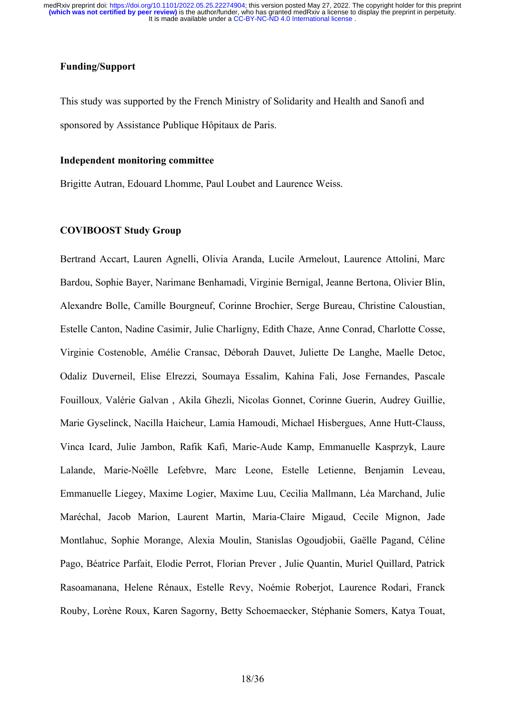## **Funding/Support**

This study was supported by the French Ministry of Solidarity and Health and Sanofi and sponsored by Assistance Publique Hôpitaux de Paris.

#### **Independent monitoring committee**

Brigitte Autran, Edouard Lhomme, Paul Loubet and Laurence Weiss.

### **COVIBOOST Study Group**

Bertrand Accart, Lauren Agnelli, Olivia Aranda, Lucile Armelout, Laurence Attolini, Marc Bardou, Sophie Bayer, Narimane Benhamadi, Virginie Bernigal, Jeanne Bertona, Olivier Blin, Alexandre Bolle, Camille Bourgneuf, Corinne Brochier, Serge Bureau, Christine Caloustian, Estelle Canton, Nadine Casimir, Julie Charligny, Edith Chaze, Anne Conrad, Charlotte Cosse, Virginie Costenoble, Amélie Cransac, Déborah Dauvet, Juliette De Langhe, Maelle Detoc, Odaliz Duverneil, Elise Elrezzi, Soumaya Essalim, Kahina Fali, Jose Fernandes, Pascale Fouilloux, Valérie Galvan, Akila Ghezli, Nicolas Gonnet, Corinne Guerin, Audrey Guillie, Marie Gyselinck, Nacilla Haicheur, Lamia Hamoudi, Michael Hisbergues, Anne Hutt-Clauss, Vinca Icard, Julie Jambon, Rafik Kafi, Marie-Aude Kamp, Emmanuelle Kasprzyk, Laure Lalande, Marie-Noélle Lefebvre, Marc Leone, Estelle Letienne, Benjamin Leveau, Emmanuelle Liegey, Maxime Logier, Maxime Luu, Cecilia Mallmann, Léa Marchand, Julie Maréchal, Jacob Marion, Laurent Martin, Maria-Claire Migaud, Cecile Mignon, Jade Montlahuc, Sophie Morange, Alexia Moulin, Stanislas Ogoudjobii, Gaëlle Pagand, Céline Pago, Béatrice Parfait, Elodie Perrot, Florian Prever, Julie Quantin, Muriel Quillard, Patrick Rasoamanana, Helene Rénaux, Estelle Revy, Noémie Roberjot, Laurence Rodari, Franck Rouby, Lorène Roux, Karen Sagorny, Betty Schoemaecker, Stéphanie Somers, Katya Touat,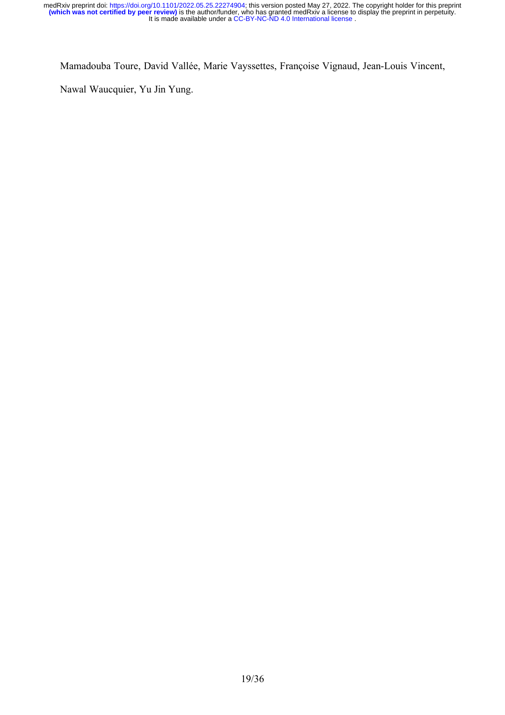Mamadouba Toure, David VallÇe, Marie Vayssettes, Françoise Vignaud, Jean-Louis Vincent,

Nawal Waucquier, Yu Jin Yung.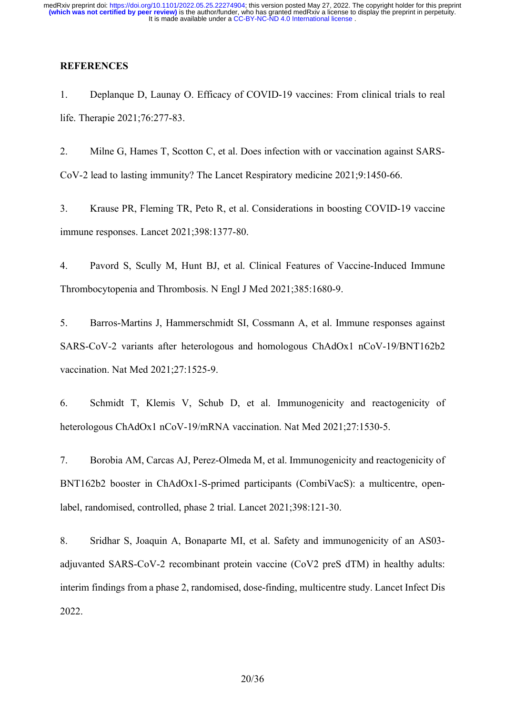## **REFERENCES**

1. Deplanque D, Launay O. Efficacy of COVID-19 vaccines: From clinical trials to real life. Therapie 2021;76:277-83.

2. Milne G, Hames T, Scotton C, et al. Does infection with or vaccination against SARS-CoV-2 lead to lasting immunity? The Lancet Respiratory medicine 2021;9:1450-66.

3. Krause PR, Fleming TR, Peto R, et al. Considerations in boosting COVID-19 vaccine immune responses. Lancet 2021;398:1377-80.

4. Pavord S, Scully M, Hunt BJ, et al. Clinical Features of Vaccine-Induced Immune Thrombocytopenia and Thrombosis. N Engl J Med 2021;385:1680-9.

5. Barros-Martins J, Hammerschmidt SI, Cossmann A, et al. Immune responses against SARS-CoV-2 variants after heterologous and homologous ChAdOx1 nCoV-19/BNT162b2 vaccination. Nat Med 2021;27:1525-9.

6. Schmidt T, Klemis V, Schub D, et al. Immunogenicity and reactogenicity of heterologous ChAdOx1 nCoV-19/mRNA vaccination. Nat Med 2021;27:1530-5.

7. Borobia AM, Carcas AJ, Perez-Olmeda M, et al. Immunogenicity and reactogenicity of BNT162b2 booster in ChAdOx1-S-primed participants (CombiVacS): a multicentre, openlabel, randomised, controlled, phase 2 trial. Lancet 2021;398:121-30.

8. Sridhar S, Joaquin A, Bonaparte MI, et al. Safety and immunogenicity of an AS03 adjuvanted SARS-CoV-2 recombinant protein vaccine (CoV2 preS dTM) in healthy adults: interim findings from a phase 2, randomised, dose-finding, multicentre study. Lancet Infect Dis 2022.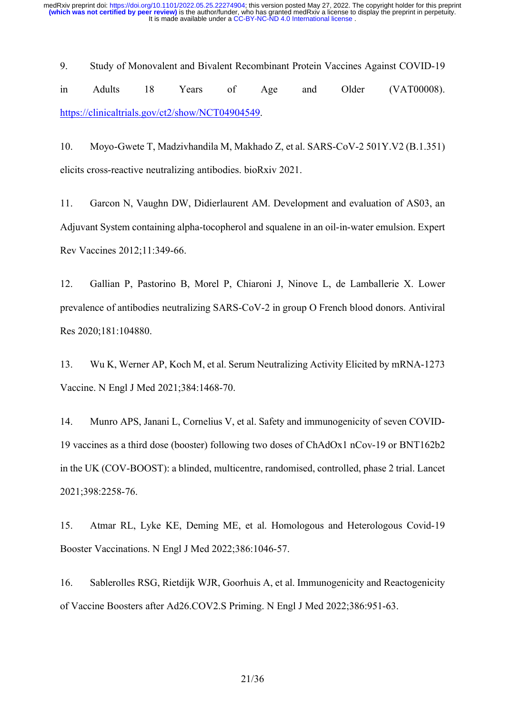9. Study of Monovalent and Bivalent Recombinant Protein Vaccines Against COVID-19 in Adults 18 Years of Age and Older (VAT00008). https://clinicaltrials.gov/ct2/show/NCT04904549.

10. Moyo-Gwete T, Madzivhandila M, Makhado Z, et al. SARS-CoV-2 501Y.V2 (B.1.351) elicits cross-reactive neutralizing antibodies. bioRxiv 2021.

11. Garcon N, Vaughn DW, Didierlaurent AM. Development and evaluation of AS03, an Adjuvant System containing alpha-tocopherol and squalene in an oil-in-water emulsion. Expert Rev Vaccines 2012;11:349-66.

12. Gallian P, Pastorino B, Morel P, Chiaroni J, Ninove L, de Lamballerie X. Lower prevalence of antibodies neutralizing SARS-CoV-2 in group O French blood donors. Antiviral Res 2020;181:104880.

13. Wu K, Werner AP, Koch M, et al. Serum Neutralizing Activity Elicited by mRNA-1273 Vaccine. N Engl J Med 2021;384:1468-70.

14. Munro APS, Janani L, Cornelius V, et al. Safety and immunogenicity of seven COVID-19 vaccines as a third dose (booster) following two doses of ChAdOx1 nCov-19 or BNT162b2 in the UK (COV-BOOST): a blinded, multicentre, randomised, controlled, phase 2 trial. Lancet 2021;398:2258-76.

15. Atmar RL, Lyke KE, Deming ME, et al. Homologous and Heterologous Covid-19 Booster Vaccinations. N Engl J Med 2022;386:1046-57.

16. Sablerolles RSG, Rietdijk WJR, Goorhuis A, et al. Immunogenicity and Reactogenicity of Vaccine Boosters after Ad26.COV2.S Priming. N Engl J Med 2022;386:951-63.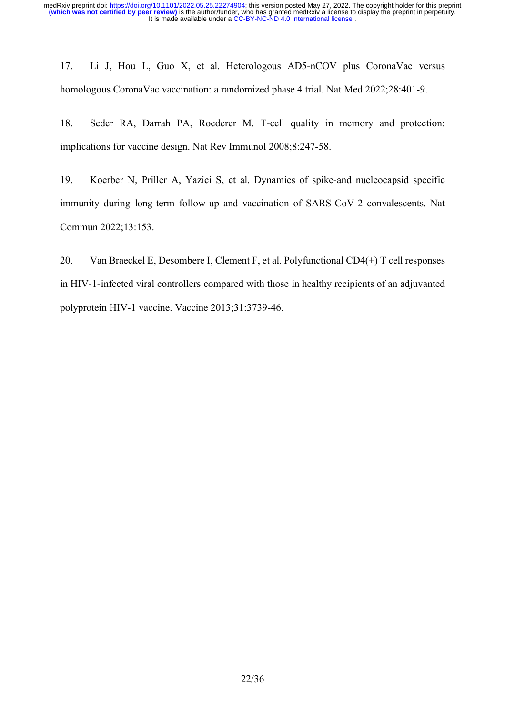17. Li J, Hou L, Guo X, et al. Heterologous AD5-nCOV plus CoronaVac versus homologous CoronaVac vaccination: a randomized phase 4 trial. Nat Med 2022;28:401-9.

18. Seder RA, Darrah PA, Roederer M. T-cell quality in memory and protection: implications for vaccine design. Nat Rev Immunol 2008;8:247-58.

19. Koerber N, Priller A, Yazici S, et al. Dynamics of spike-and nucleocapsid specific immunity during long-term follow-up and vaccination of SARS-CoV-2 convalescents. Nat Commun 2022;13:153.

20. Van Braeckel E, Desombere I, Clement F, et al. Polyfunctional CD4(+) T cell responses in HIV-1-infected viral controllers compared with those in healthy recipients of an adjuvanted polyprotein HIV-1 vaccine. Vaccine 2013;31:3739-46.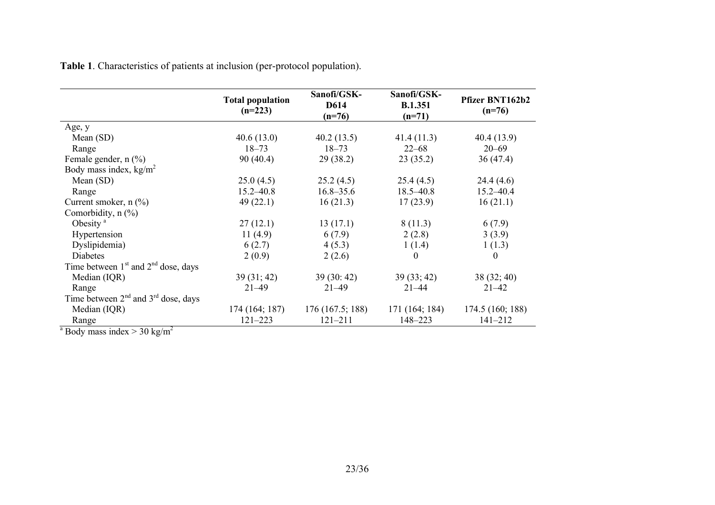|                                                | <b>Total population</b><br>$(n=223)$ | Sanofi/GSK-<br>D614<br>$(n=76)$ | Sanofi/GSK-<br><b>B.1.351</b><br>$(n=71)$ | Pfizer BNT162b2<br>$(n=76)$ |
|------------------------------------------------|--------------------------------------|---------------------------------|-------------------------------------------|-----------------------------|
| Age, y                                         |                                      |                                 |                                           |                             |
| Mean $(SD)$                                    | 40.6(13.0)                           | 40.2(13.5)                      | 41.4(11.3)                                | 40.4 (13.9)                 |
| Range                                          | $18 - 73$                            | $18 - 73$                       | $22 - 68$                                 | $20 - 69$                   |
| Female gender, $n$ (%)                         | 90(40.4)                             | 29 (38.2)                       | 23(35.2)                                  | 36(47.4)                    |
| Body mass index, $kg/m2$                       |                                      |                                 |                                           |                             |
| Mean $(SD)$                                    | 25.0(4.5)                            | 25.2(4.5)                       | 25.4(4.5)                                 | 24.4(4.6)                   |
| Range                                          | $15.2 - 40.8$                        | $16.8 - 35.6$                   | $18.5 - 40.8$                             | $15.2 - 40.4$               |
| Current smoker, $n$ $\left(\frac{0}{0}\right)$ | 49 $(22.1)$                          | 16(21.3)                        | 17(23.9)                                  | 16(21.1)                    |
| Comorbidity, $n$ $\left(\frac{9}{6}\right)$    |                                      |                                 |                                           |                             |
| Obesity <sup>a</sup>                           | 27(12.1)                             | 13(17.1)                        | 8(11.3)                                   | 6(7.9)                      |
| Hypertension                                   | 11(4.9)                              | 6(7.9)                          | 2(2.8)                                    | 3(3.9)                      |
| Dyslipidemia)                                  | 6(2.7)                               | 4(5.3)                          | 1(1.4)                                    | 1(1.3)                      |
| Diabetes                                       | 2(0.9)                               | 2(2.6)                          | $\Omega$                                  | $\theta$                    |
| Time between $1st$ and $2nd$ dose, days        |                                      |                                 |                                           |                             |
| Median (IQR)                                   | 39(31; 42)                           | 39(30:42)                       | 39(33; 42)                                | 38 (32; 40)                 |
| Range                                          | $21 - 49$                            | $21 - 49$                       | $21 - 44$                                 | $21 - 42$                   |
| Time between $2nd$ and $3rd$ dose, days        |                                      |                                 |                                           |                             |
| Median (IQR)                                   | 174 (164; 187)                       | 176(167.5; 188)                 | 171 (164; 184)                            | 174.5 (160; 188)            |
| Range<br>$\overline{\phantom{a}}$              | $121 - 223$                          | $121 - 211$                     | 148-223                                   | $141 - 212$                 |

**Table 1**. Characteristics of patients at inclusion (per-protocol population).

<sup>a</sup> Body mass index > 30 kg/m<sup>2</sup>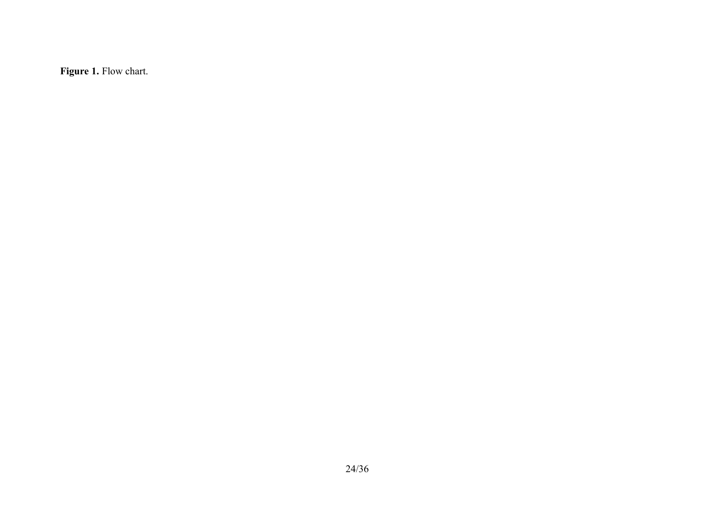**Figure 1.** Flow chart.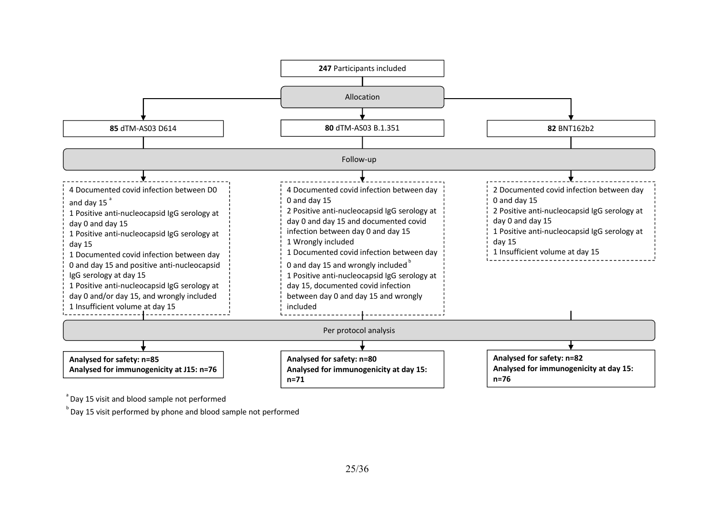

 $\degree$  Day 15 visit and blood sample not performed

 $^{\circ}$  Day 15 visit performed by phone and blood sample not performed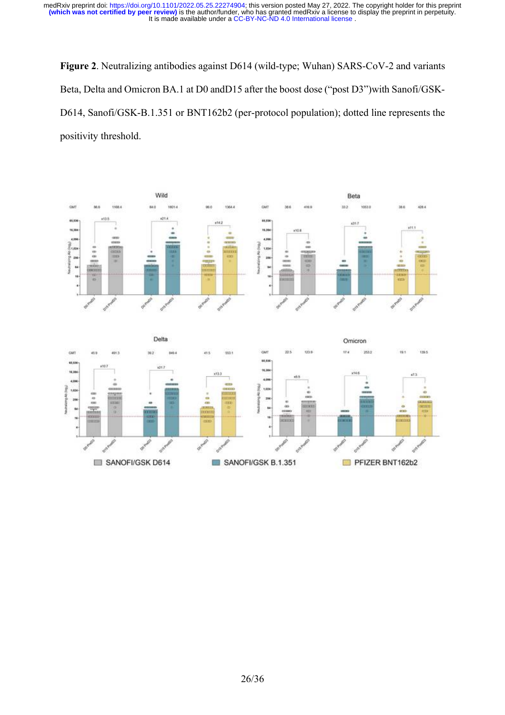**Figure 2**. Neutralizing antibodies against D614 (wild-type; Wuhan) SARS-CoV-2 and variants Beta, Delta and Omicron BA.1 at D0 andD15 after the boost dose ("post D3")with Sanofi/GSK-D614, Sanofi/GSK-B.1.351 or BNT162b2 (per-protocol population); dotted line represents the positivity threshold.



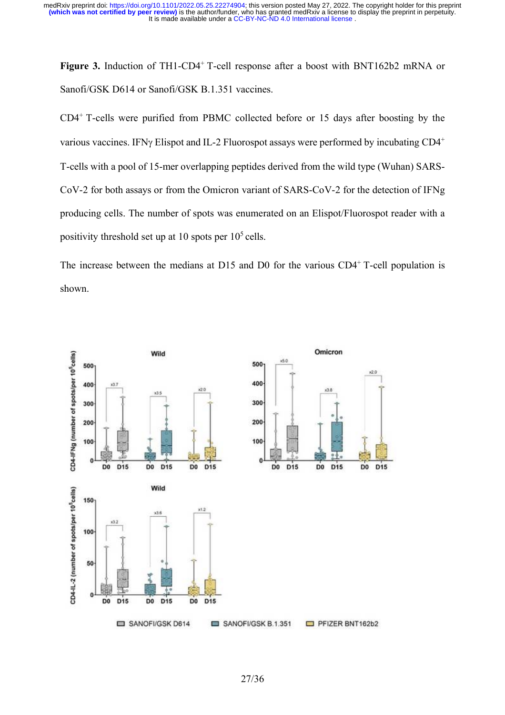**Figure 3.** Induction of TH1-CD4<sup>+</sup> T-cell response after a boost with BNT162b2 mRNA or Sanofi/GSK D614 or Sanofi/GSK B.1.351 vaccines.

CD4<sup>+</sup> T-cells were purified from PBMC collected before or 15 days after boosting by the various vaccines. IFNy Elispot and IL-2 Fluorospot assays were performed by incubating  $CD4^+$ T-cells with a pool of 15-mer overlapping peptides derived from the wild type (Wuhan) SARS-CoV-2 for both assays or from the Omicron variant of SARS-CoV-2 for the detection of IFNg producing cells. The number of spots was enumerated on an Elispot/Fluorospot reader with a positivity threshold set up at 10 spots per  $10^5$  cells.

The increase between the medians at D15 and D0 for the various  $CD4<sup>+</sup>$  T-cell population is shown.